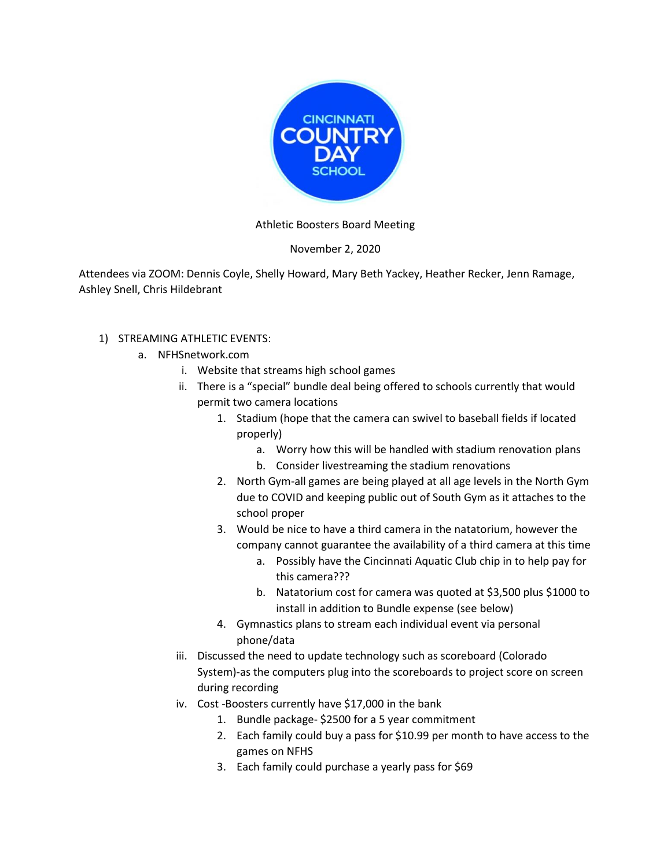

## Athletic Boosters Board Meeting

## November 2, 2020

Attendees via ZOOM: Dennis Coyle, Shelly Howard, Mary Beth Yackey, Heather Recker, Jenn Ramage, Ashley Snell, Chris Hildebrant

## 1) STREAMING ATHLETIC EVENTS:

- a. NFHSnetwork.com
	- i. Website that streams high school games
	- ii. There is a "special" bundle deal being offered to schools currently that would permit two camera locations
		- 1. Stadium (hope that the camera can swivel to baseball fields if located properly)
			- a. Worry how this will be handled with stadium renovation plans
			- b. Consider livestreaming the stadium renovations
		- 2. North Gym-all games are being played at all age levels in the North Gym due to COVID and keeping public out of South Gym as it attaches to the school proper
		- 3. Would be nice to have a third camera in the natatorium, however the company cannot guarantee the availability of a third camera at this time
			- a. Possibly have the Cincinnati Aquatic Club chip in to help pay for this camera???
			- b. Natatorium cost for camera was quoted at \$3,500 plus \$1000 to install in addition to Bundle expense (see below)
		- 4. Gymnastics plans to stream each individual event via personal phone/data
	- iii. Discussed the need to update technology such as scoreboard (Colorado System)-as the computers plug into the scoreboards to project score on screen during recording
	- iv. Cost -Boosters currently have \$17,000 in the bank
		- 1. Bundle package- \$2500 for a 5 year commitment
		- 2. Each family could buy a pass for \$10.99 per month to have access to the games on NFHS
		- 3. Each family could purchase a yearly pass for \$69